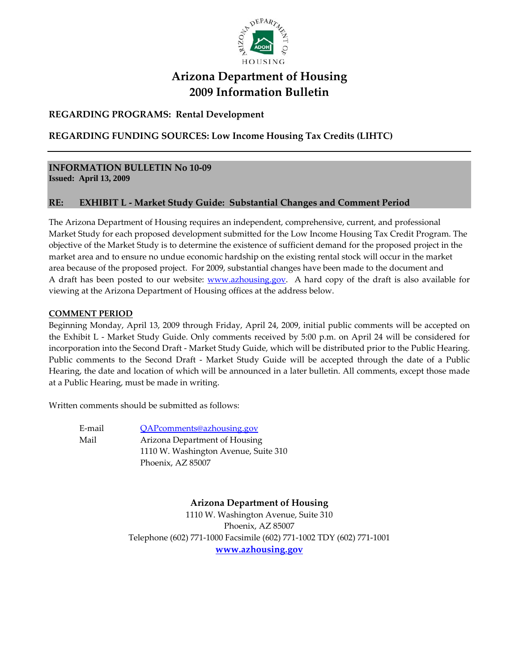

# **Arizona Department of Housing 2009 Information Bulletin**

## **REGARDING PROGRAMS: Rental Development**

## **REGARDING FUNDING SOURCES: Low Income Housing Tax Credits (LIHTC)**

#### **INFORMATION BULLETIN No 10‐09 Issued: April 13, 2009**

## **RE: EXHIBIT L ‐ Market Study Guide: Substantial Changes and Comment Period**

The Arizona Department of Housing requires an independent, comprehensive, current, and professional Market Study for each proposed development submitted for the Low Income Housing Tax Credit Program. The objective of the Market Study is to determine the existence of sufficient demand for the proposed project in the market area and to ensure no undue economic hardship on the existing rental stock will occur in the market area because of the proposed project. For 2009, substantial changes have been made to the document and A draft has been posted to our website: www.azhousing.gov. A hard copy of the draft is also available for viewing at the Arizona Department of Housing offices at the address below.

## **COMMENT PERIOD**

Beginning Monday, April 13, 2009 through Friday, April 24, 2009, initial public comments will be accepted on the Exhibit L - Market Study Guide. Only comments received by 5:00 p.m. on April 24 will be considered for incorporation into the Second Draft ‐ Market Study Guide, which will be distributed prior to the Public Hearing. Public comments to the Second Draft - Market Study Guide will be accepted through the date of a Public Hearing, the date and location of which will be announced in a later bulletin. All comments, except those made at a Public Hearing, must be made in writing.

Written comments should be submitted as follows:

E-mail QAPcomments@azhousing.gov Mail **Arizona Department of Housing** 1110 W. Washington Avenue, Suite 310 Phoenix, AZ 85007

**Arizona Department of Housing**

1110 W. Washington Avenue, Suite 310 Phoenix, AZ 85007 Telephone (602) 771‐1000 Facsimile (602) 771‐1002 TDY (602) 771‐1001 **www.azhousing.gov**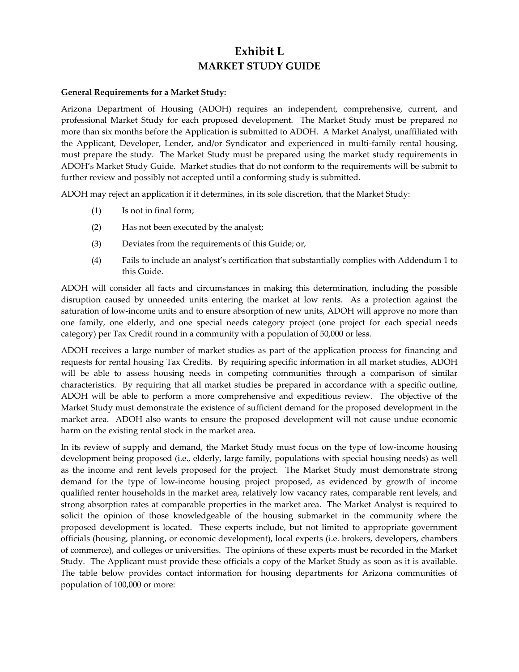## **Exhibit L MARKET STUDY GUIDE**

### **General Requirements for a Market Study:**

Arizona Department of Housing (ADOH) requires an independent, comprehensive, current, and professional Market Study for each proposed development. The Market Study must be prepared no more than six months before the Application is submitted to ADOH. A Market Analyst, unaffiliated with the Applicant, Developer, Lender, and/or Syndicator and experienced in multi-family rental housing, must prepare the study. The Market Study must be prepared using the market study requirements in ADOH's Market Study Guide. Market studies that do not conform to the requirements will be submit to further review and possibly not accepted until a conforming study is submitted.

ADOH may reject an application if it determines, in its sole discretion, that the Market Study:

- (1) Is not in final form;
- (2) Has not been executed by the analyst;
- (3) Deviates from the requirements of this Guide; or,
- (4) Fails to include an analyst's certification that substantially complies with Addendum 1 to this Guide.

ADOH will consider all facts and circumstances in making this determination, including the possible disruption caused by unneeded units entering the market at low rents. As a protection against the saturation of low-income units and to ensure absorption of new units, ADOH will approve no more than one family, one elderly, and one special needs category project (one project for each special needs category) per Tax Credit round in a community with a population of 50,000 or less.

ADOH receives a large number of market studies as part of the application process for financing and requests for rental housing Tax Credits. By requiring specific information in all market studies, ADOH will be able to assess housing needs in competing communities through a comparison of similar characteristics. By requiring that all market studies be prepared in accordance with a specific outline, ADOH will be able to perform a more comprehensive and expeditious review. The objective of the Market Study must demonstrate the existence of sufficient demand for the proposed development in the market area. ADOH also wants to ensure the proposed development will not cause undue economic harm on the existing rental stock in the market area.

In its review of supply and demand, the Market Study must focus on the type of low‐income housing development being proposed (i.e., elderly, large family, populations with special housing needs) as well as the income and rent levels proposed for the project. The Market Study must demonstrate strong demand for the type of low‐income housing project proposed, as evidenced by growth of income qualified renter households in the market area, relatively low vacancy rates, comparable rent levels, and strong absorption rates at comparable properties in the market area. The Market Analyst is required to solicit the opinion of those knowledgeable of the housing submarket in the community where the proposed development is located. These experts include, but not limited to appropriate government officials (housing, planning, or economic development), local experts (i.e. brokers, developers, chambers of commerce), and colleges or universities. The opinions of these experts must be recorded in the Market Study. The Applicant must provide these officials a copy of the Market Study as soon as it is available. The table below provides contact information for housing departments for Arizona communities of population of 100,000 or more: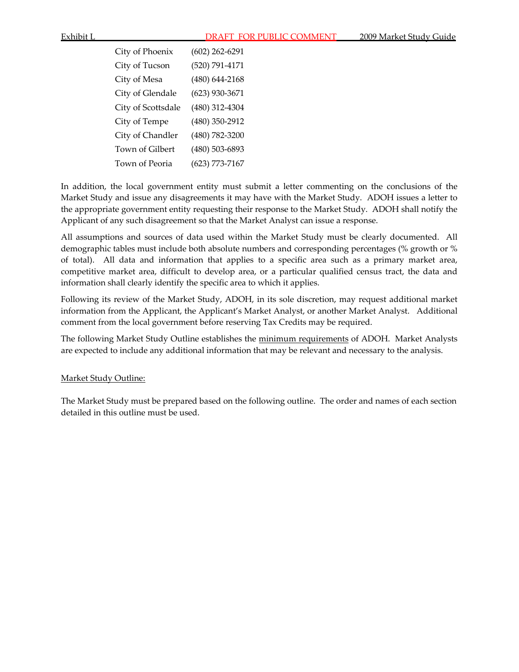| City of Phoenix    | $(602)$ 262-6291   |
|--------------------|--------------------|
| City of Tucson     | (520) 791-4171     |
| City of Mesa       | $(480) 644 - 2168$ |
| City of Glendale   | $(623)$ 930-3671   |
| City of Scottsdale | (480) 312-4304     |
| City of Tempe      | $(480)$ 350-2912   |
| City of Chandler   | (480) 782-3200     |
| Town of Gilbert    | (480) 503-6893     |
| Town of Peoria     | $(623) 773 - 7167$ |

In addition, the local government entity must submit a letter commenting on the conclusions of the Market Study and issue any disagreements it may have with the Market Study. ADOH issues a letter to the appropriate government entity requesting their response to the Market Study. ADOH shall notify the Applicant of any such disagreement so that the Market Analyst can issue a response.

All assumptions and sources of data used within the Market Study must be clearly documented. All demographic tables must include both absolute numbers and corresponding percentages (% growth or % of total). All data and information that applies to a specific area such as a primary market area, competitive market area, difficult to develop area, or a particular qualified census tract, the data and information shall clearly identify the specific area to which it applies.

Following its review of the Market Study, ADOH, in its sole discretion, may request additional market information from the Applicant, the Applicant's Market Analyst, or another Market Analyst. Additional comment from the local government before reserving Tax Credits may be required.

The following Market Study Outline establishes the minimum requirements of ADOH. Market Analysts are expected to include any additional information that may be relevant and necessary to the analysis.

#### Market Study Outline:

The Market Study must be prepared based on the following outline. The order and names of each section detailed in this outline must be used.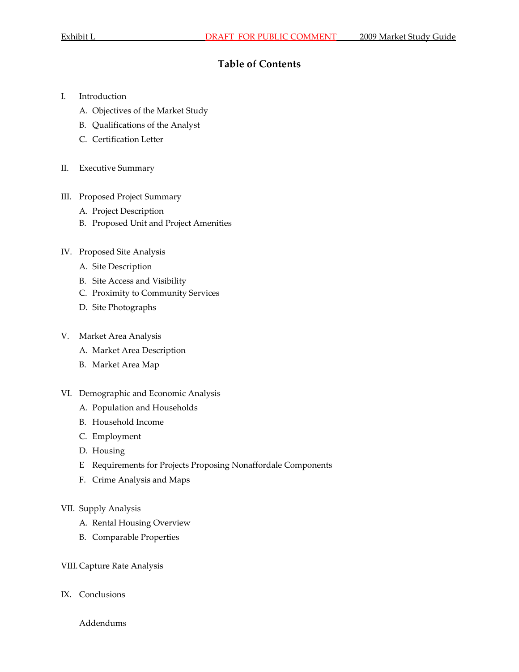## **Table of Contents**

- I. Introduction
	- A. Objectives of the Market Study
	- B. Qualifications of the Analyst
	- C. Certification Letter
- II. Executive Summary
- III. Proposed Project Summary
	- A. Project Description
	- B. Proposed Unit and Project Amenities
- IV. Proposed Site Analysis
	- A. Site Description
	- B. Site Access and Visibility
	- C. Proximity to Community Services
	- D. Site Photographs

#### V. Market Area Analysis

- A. Market Area Description
- B. Market Area Map
- VI. Demographic and Economic Analysis
	- A. Population and Households
	- B. Household Income
	- C. Employment
	- D. Housing
	- E Requirements for Projects Proposing Nonaffordale Components
	- F. Crime Analysis and Maps
- VII. Supply Analysis
	- A. Rental Housing Overview
	- B. Comparable Properties

#### VIII. Capture Rate Analysis

IX. Conclusions

Addendums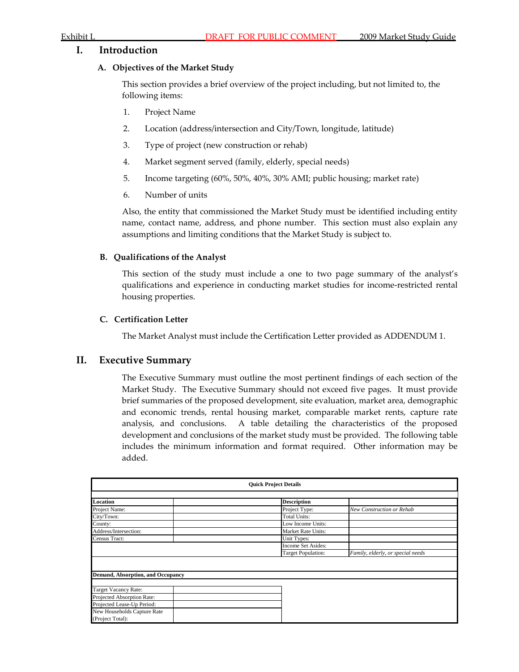## **I. Introduction**

### **A. Objectives of the Market Study**

This section provides a brief overview of the project including, but not limited to, the following items:

- 1. Project Name
- 2. Location (address/intersection and City/Town, longitude, latitude)
- 3. Type of project (new construction or rehab)
- 4. Market segment served (family, elderly, special needs)
- 5. Income targeting (60%, 50%, 40%, 30% AMI; public housing; market rate)
- 6. Number of units

Also, the entity that commissioned the Market Study must be identified including entity name, contact name, address, and phone number. This section must also explain any assumptions and limiting conditions that the Market Study is subject to.

### **B. Qualifications of the Analyst**

This section of the study must include a one to two page summary of the analyst's qualifications and experience in conducting market studies for income‐restricted rental housing properties.

### **C. Certification Letter**

The Market Analyst must include the Certification Letter provided as ADDENDUM 1.

## **II. Executive Summary**

The Executive Summary must outline the most pertinent findings of each section of the Market Study. The Executive Summary should not exceed five pages. It must provide brief summaries of the proposed development, site evaluation, market area, demographic and economic trends, rental housing market, comparable market rents, capture rate analysis, and conclusions. A table detailing the characteristics of the proposed development and conclusions of the market study must be provided. The following table includes the minimum information and format required. Other information may be added.

| <b>Ouick Project Details</b>      |  |                           |                                   |  |  |  |  |  |
|-----------------------------------|--|---------------------------|-----------------------------------|--|--|--|--|--|
|                                   |  |                           |                                   |  |  |  |  |  |
| Location                          |  | <b>Description</b>        |                                   |  |  |  |  |  |
| Project Name:                     |  | Project Type:             | New Construction or Rehab         |  |  |  |  |  |
| City/Town:                        |  | <b>Total Units:</b>       |                                   |  |  |  |  |  |
| County:                           |  | Low Income Units:         |                                   |  |  |  |  |  |
| Address/Intersection:             |  | Market Rate Units:        |                                   |  |  |  |  |  |
| Census Tract:                     |  | Unit Types:               |                                   |  |  |  |  |  |
|                                   |  | Income Set Asides:        |                                   |  |  |  |  |  |
|                                   |  | <b>Target Population:</b> | Family, elderly, or special needs |  |  |  |  |  |
|                                   |  |                           |                                   |  |  |  |  |  |
|                                   |  |                           |                                   |  |  |  |  |  |
| Demand, Absorption, and Occupancy |  |                           |                                   |  |  |  |  |  |
|                                   |  |                           |                                   |  |  |  |  |  |
| Target Vacancy Rate:              |  |                           |                                   |  |  |  |  |  |
| Projected Absorption Rate:        |  |                           |                                   |  |  |  |  |  |
| Projected Lease-Up Period:        |  |                           |                                   |  |  |  |  |  |
| New Households Capture Rate       |  |                           |                                   |  |  |  |  |  |
| (Project Total):                  |  |                           |                                   |  |  |  |  |  |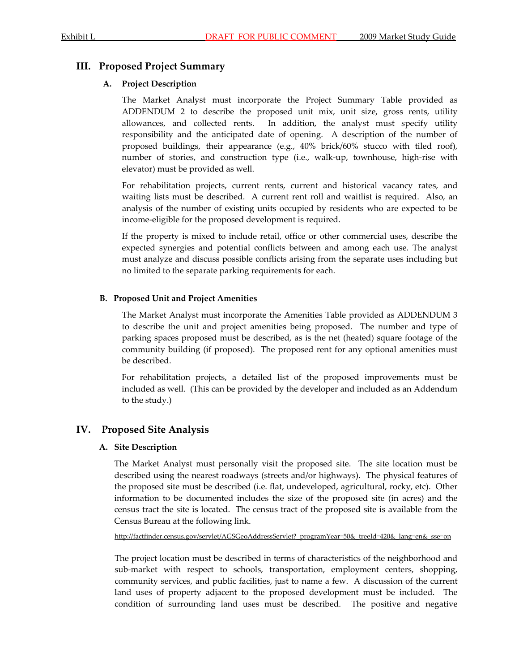## **III. Proposed Project Summary**

## **A. Project Description**

The Market Analyst must incorporate the Project Summary Table provided as ADDENDUM 2 to describe the proposed unit mix, unit size, gross rents, utility allowances, and collected rents. In addition, the analyst must specify utility responsibility and the anticipated date of opening. A description of the number of proposed buildings, their appearance (e.g., 40% brick/60% stucco with tiled roof), number of stories, and construction type (i.e., walk‐up, townhouse, high‐rise with elevator) must be provided as well.

For rehabilitation projects, current rents, current and historical vacancy rates, and waiting lists must be described. A current rent roll and waitlist is required. Also, an analysis of the number of existing units occupied by residents who are expected to be income‐eligible for the proposed development is required.

If the property is mixed to include retail, office or other commercial uses, describe the expected synergies and potential conflicts between and among each use. The analyst must analyze and discuss possible conflicts arising from the separate uses including but no limited to the separate parking requirements for each.

## **B. Proposed Unit and Project Amenities**

The Market Analyst must incorporate the Amenities Table provided as ADDENDUM 3 to describe the unit and project amenities being proposed. The number and type of parking spaces proposed must be described, as is the net (heated) square footage of the community building (if proposed). The proposed rent for any optional amenities must be described.

For rehabilitation projects, a detailed list of the proposed improvements must be included as well. (This can be provided by the developer and included as an Addendum to the study.)

## **IV. Proposed Site Analysis**

## **A. Site Description**

The Market Analyst must personally visit the proposed site. The site location must be described using the nearest roadways (streets and/or highways). The physical features of the proposed site must be described (i.e. flat, undeveloped, agricultural, rocky, etc). Other information to be documented includes the size of the proposed site (in acres) and the census tract the site is located. The census tract of the proposed site is available from the Census Bureau at the following link.

http://factfinder.census.gov/servlet/AGSGeoAddressServlet? programYear=50&\_treeId=420&\_lang=en&\_sse=on

The project location must be described in terms of characteristics of the neighborhood and sub-market with respect to schools, transportation, employment centers, shopping, community services, and public facilities, just to name a few. A discussion of the current land uses of property adjacent to the proposed development must be included. The condition of surrounding land uses must be described. The positive and negative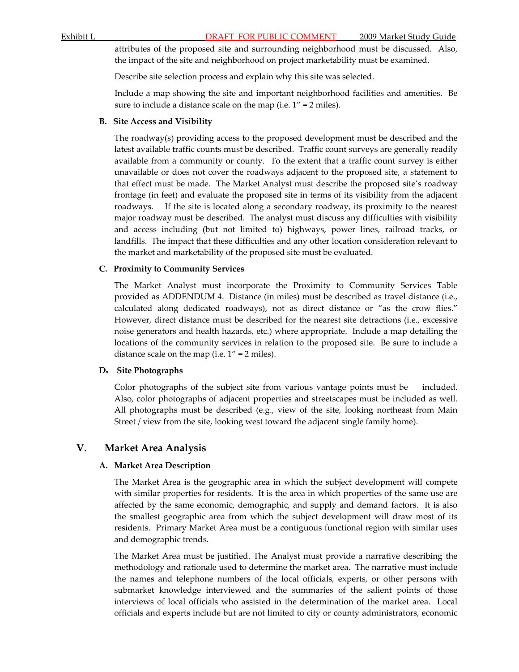attributes of the proposed site and surrounding neighborhood must be discussed. Also, the impact of the site and neighborhood on project marketability must be examined.

Describe site selection process and explain why this site was selected.

Include a map showing the site and important neighborhood facilities and amenities. Be sure to include a distance scale on the map (i.e. 1" = 2 miles).

### **B. Site Access and Visibility**

The roadway(s) providing access to the proposed development must be described and the latest available traffic counts must be described. Traffic count surveys are generally readily available from a community or county. To the extent that a traffic count survey is either unavailable or does not cover the roadways adjacent to the proposed site, a statement to that effect must be made. The Market Analyst must describe the proposed site's roadway frontage (in feet) and evaluate the proposed site in terms of its visibility from the adjacent roadways. If the site is located along a secondary roadway, its proximity to the nearest major roadway must be described. The analyst must discuss any difficulties with visibility and access including (but not limited to) highways, power lines, railroad tracks, or landfills. The impact that these difficulties and any other location consideration relevant to the market and marketability of the proposed site must be evaluated.

## **C. Proximity to Community Services**

The Market Analyst must incorporate the Proximity to Community Services Table provided as ADDENDUM 4. Distance (in miles) must be described as travel distance (i.e., calculated along dedicated roadways), not as direct distance or "as the crow flies." However, direct distance must be described for the nearest site detractions (i.e., excessive noise generators and health hazards, etc.) where appropriate. Include a map detailing the locations of the community services in relation to the proposed site. Be sure to include a distance scale on the map (i.e.  $1'' = 2$  miles).

#### **D. Site Photographs**

Color photographs of the subject site from various vantage points must be included. Also, color photographs of adjacent properties and streetscapes must be included as well. All photographs must be described (e.g., view of the site, looking northeast from Main Street / view from the site, looking west toward the adjacent single family home).

## **V. Market Area Analysis**

## **A. Market Area Description**

The Market Area is the geographic area in which the subject development will compete with similar properties for residents. It is the area in which properties of the same use are affected by the same economic, demographic, and supply and demand factors. It is also the smallest geographic area from which the subject development will draw most of its residents. Primary Market Area must be a contiguous functional region with similar uses and demographic trends.

The Market Area must be justified. The Analyst must provide a narrative describing the methodology and rationale used to determine the market area. The narrative must include the names and telephone numbers of the local officials, experts, or other persons with submarket knowledge interviewed and the summaries of the salient points of those interviews of local officials who assisted in the determination of the market area. Local officials and experts include but are not limited to city or county administrators, economic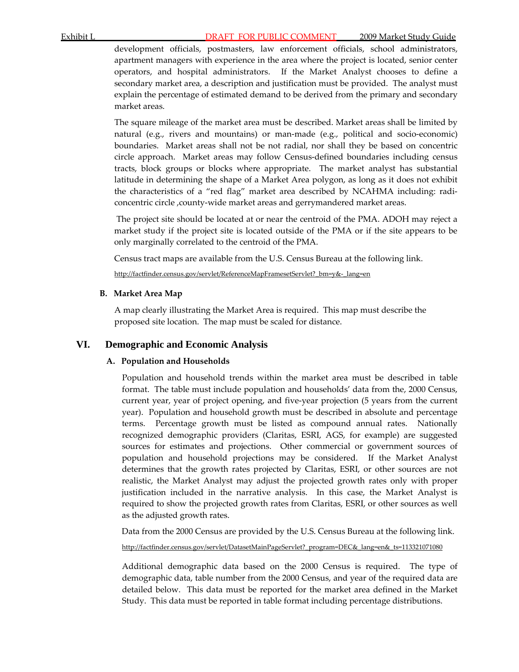development officials, postmasters, law enforcement officials, school administrators, apartment managers with experience in the area where the project is located, senior center operators, and hospital administrators. If the Market Analyst chooses to define a secondary market area, a description and justification must be provided. The analyst must explain the percentage of estimated demand to be derived from the primary and secondary market areas.

The square mileage of the market area must be described. Market areas shall be limited by natural (e.g., rivers and mountains) or man-made (e.g., political and socio-economic) boundaries. Market areas shall not be not radial, nor shall they be based on concentric circle approach. Market areas may follow Census‐defined boundaries including census tracts, block groups or blocks where appropriate. The market analyst has substantial latitude in determining the shape of a Market Area polygon, as long as it does not exhibit the characteristics of a "red flag" market area described by NCAHMA including: radiconcentric circle , county-wide market areas and gerrymandered market areas.

The project site should be located at or near the centroid of the PMA. ADOH may reject a market study if the project site is located outside of the PMA or if the site appears to be only marginally correlated to the centroid of the PMA.

Census tract maps are available from the U.S. Census Bureau at the following link.

[http://factfinder.census.gov/servlet/ReferenceMapFramesetServlet?\\_bm=y&](http://factfinder.census.gov/servlet/ReferenceMapFramesetServlet?_bm=y&-_lang=en)‐\_lang=en

## **B. Market Area Map**

A map clearly illustrating the Market Area is required. This map must describe the proposed site location. The map must be scaled for distance.

## **VI. Demographic and Economic Analysis**

## **A. Population and Households**

Population and household trends within the market area must be described in table format. The table must include population and households' data from the, 2000 Census, current year, year of project opening, and five‐year projection (5 years from the current year). Population and household growth must be described in absolute and percentage terms. Percentage growth must be listed as compound annual rates. Nationally recognized demographic providers (Claritas, ESRI, AGS, for example) are suggested sources for estimates and projections. Other commercial or government sources of population and household projections may be considered. If the Market Analyst determines that the growth rates projected by Claritas, ESRI, or other sources are not realistic, the Market Analyst may adjust the projected growth rates only with proper justification included in the narrative analysis. In this case, the Market Analyst is required to show the projected growth rates from Claritas, ESRI, or other sources as well as the adjusted growth rates.

Data from the 2000 Census are provided by the U.S. Census Bureau at the following link.

[http://factfinder.census.gov/servlet/DatasetMainPageServlet?\\_program=DEC&\\_lang=en&\\_ts=113321071080](http://factfinder.census.gov/servlet/DatasetMainPageServlet?_program=DEC&_lang=en&_ts=113321071080)

Additional demographic data based on the 2000 Census is required. The type of demographic data, table number from the 2000 Census, and year of the required data are detailed below. This data must be reported for the market area defined in the Market Study. This data must be reported in table format including percentage distributions.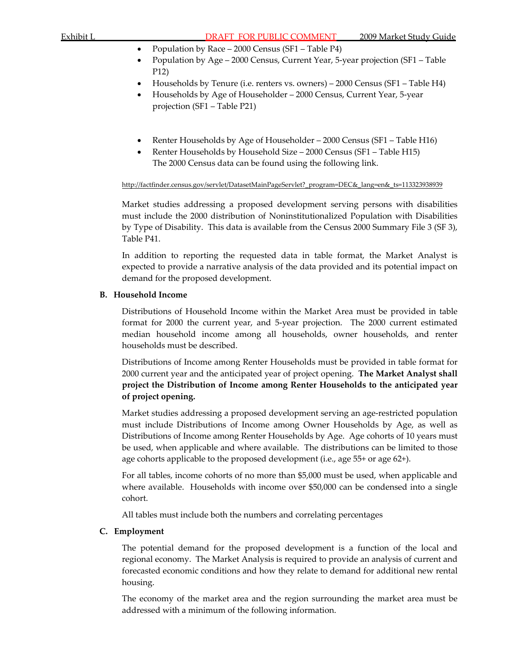- Population by Race 2000 Census (SF1 Table P4)
- Population by Age 2000 Census, Current Year, 5‐year projection (SF1 Table P12)
- Households by Tenure (i.e. renters vs. owners) 2000 Census (SF1 Table H4)
- Households by Age of Householder 2000 Census, Current Year, 5‐year projection (SF1 – Table P21)
- Renter Households by Age of Householder 2000 Census (SF1 Table H16)
- Renter Households by Household Size 2000 Census (SF1 Table H15) The 2000 Census data can be found using the following link.

http://factfinder.census.gov/servlet/DatasetMainPageServlet? program=DEC&\_lang=en&\_ts=113323938939

Market studies addressing a proposed development serving persons with disabilities must include the 2000 distribution of Noninstitutionalized Population with Disabilities by Type of Disability. This data is available from the Census 2000 Summary File 3 (SF 3), Table P41.

In addition to reporting the requested data in table format, the Market Analyst is expected to provide a narrative analysis of the data provided and its potential impact on demand for the proposed development.

#### **B. Household Income**

Distributions of Household Income within the Market Area must be provided in table format for 2000 the current year, and 5-year projection. The 2000 current estimated median household income among all households, owner households, and renter households must be described.

Distributions of Income among Renter Households must be provided in table format for 2000 current year and the anticipated year of project opening. **The Market Analyst shall project the Distribution of Income among Renter Households to the anticipated year of project opening.**

Market studies addressing a proposed development serving an age-restricted population must include Distributions of Income among Owner Households by Age, as well as Distributions of Income among Renter Households by Age. Age cohorts of 10 years must be used, when applicable and where available. The distributions can be limited to those age cohorts applicable to the proposed development (i.e., age 55+ or age 62+).

For all tables, income cohorts of no more than \$5,000 must be used, when applicable and where available. Households with income over \$50,000 can be condensed into a single cohort.

All tables must include both the numbers and correlating percentages

#### **C. Employment**

The potential demand for the proposed development is a function of the local and regional economy. The Market Analysis is required to provide an analysis of current and forecasted economic conditions and how they relate to demand for additional new rental housing.

The economy of the market area and the region surrounding the market area must be addressed with a minimum of the following information.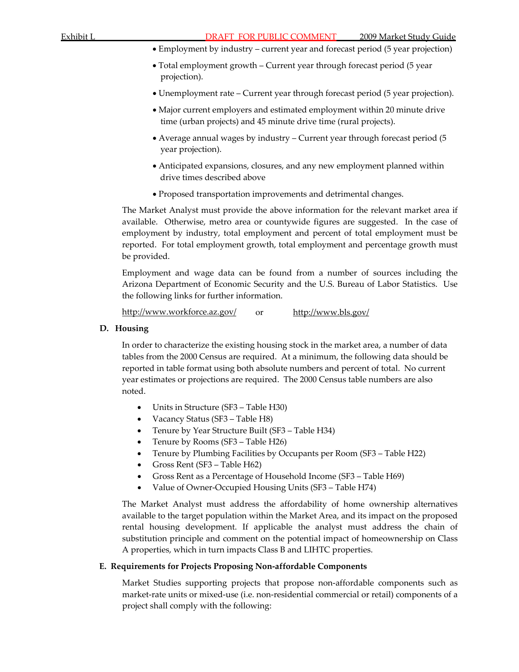- Employment by industry current year and forecast period (5 year projection)
- Total employment growth Current year through forecast period (5 year projection).
- Unemployment rate Current year through forecast period (5 year projection).
- Major current employers and estimated employment within 20 minute drive time (urban projects) and 45 minute drive time (rural projects).
- Average annual wages by industry Current year through forecast period (5 year projection).
- Anticipated expansions, closures, and any new employment planned within drive times described above
- Proposed transportation improvements and detrimental changes.

The Market Analyst must provide the above information for the relevant market area if available. Otherwise, metro area or countywide figures are suggested. In the case of employment by industry, total employment and percent of total employment must be reported. For total employment growth, total employment and percentage growth must be provided.

Employment and wage data can be found from a number of sources including the Arizona Department of Economic Security and the U.S. Bureau of Labor Statistics. Use the following links for further information.

<http://www.workforce.az.gov/> or <http://www.bls.gov/>

### **D. Housing**

In order to characterize the existing housing stock in the market area, a number of data tables from the 2000 Census are required. At a minimum, the following data should be reported in table format using both absolute numbers and percent of total. No current year estimates or projections are required. The 2000 Census table numbers are also noted.

- Units in Structure (SF3 Table H30)
- Vacancy Status (SF3 Table H8)
- Tenure by Year Structure Built (SF3 Table H34)
- Tenure by Rooms (SF3 Table H26)
- Tenure by Plumbing Facilities by Occupants per Room (SF3 Table H22)
- Gross Rent (SF3 Table H62)
- Gross Rent as a Percentage of Household Income (SF3 Table H69)
- Value of Owner-Occupied Housing Units (SF3 Table H74)

The Market Analyst must address the affordability of home ownership alternatives available to the target population within the Market Area, and its impact on the proposed rental housing development. If applicable the analyst must address the chain of substitution principle and comment on the potential impact of homeownership on Class A properties, which in turn impacts Class B and LIHTC properties.

## **E. Requirements for Projects Proposing Non‐affordable Components**

Market Studies supporting projects that propose non‐affordable components such as market-rate units or mixed-use (i.e. non-residential commercial or retail) components of a project shall comply with the following: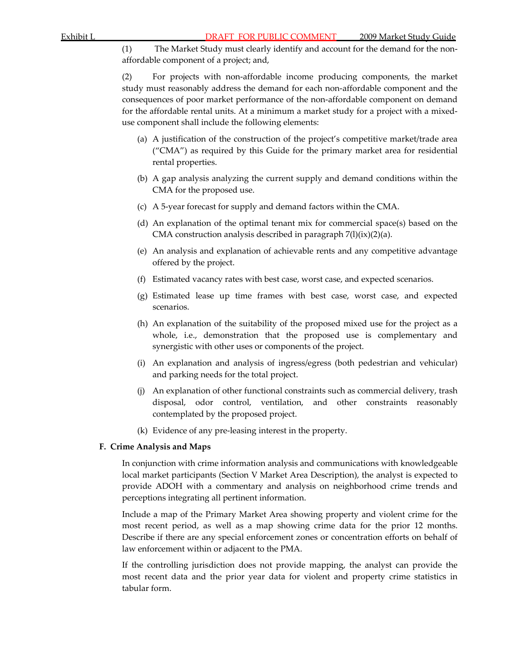(1) The Market Study must clearly identify and account for the demand for the non‐ affordable component of a project; and,

(2) For projects with non‐affordable income producing components, the market study must reasonably address the demand for each non‐affordable component and the consequences of poor market performance of the non‐affordable component on demand for the affordable rental units. At a minimum a market study for a project with a mixeduse component shall include the following elements:

- (a) A justification of the construction of the project's competitive market/trade area ("CMA") as required by this Guide for the primary market area for residential rental properties.
- (b) A gap analysis analyzing the current supply and demand conditions within the CMA for the proposed use.
- (c) A 5‐year forecast for supply and demand factors within the CMA.
- (d) An explanation of the optimal tenant mix for commercial space(s) based on the CMA construction analysis described in paragraph  $7(1)(ix)(2)(a)$ .
- (e) An analysis and explanation of achievable rents and any competitive advantage offered by the project.
- (f) Estimated vacancy rates with best case, worst case, and expected scenarios.
- (g) Estimated lease up time frames with best case, worst case, and expected scenarios.
- (h) An explanation of the suitability of the proposed mixed use for the project as a whole, i.e., demonstration that the proposed use is complementary and synergistic with other uses or components of the project.
- (i) An explanation and analysis of ingress/egress (both pedestrian and vehicular) and parking needs for the total project.
- (j) An explanation of other functional constraints such as commercial delivery, trash disposal, odor control, ventilation, and other constraints reasonably contemplated by the proposed project.
- (k) Evidence of any pre‐leasing interest in the property.

## **F. Crime Analysis and Maps**

In conjunction with crime information analysis and communications with knowledgeable local market participants (Section V Market Area Description), the analyst is expected to provide ADOH with a commentary and analysis on neighborhood crime trends and perceptions integrating all pertinent information.

Include a map of the Primary Market Area showing property and violent crime for the most recent period, as well as a map showing crime data for the prior 12 months. Describe if there are any special enforcement zones or concentration efforts on behalf of law enforcement within or adjacent to the PMA.

If the controlling jurisdiction does not provide mapping, the analyst can provide the most recent data and the prior year data for violent and property crime statistics in tabular form.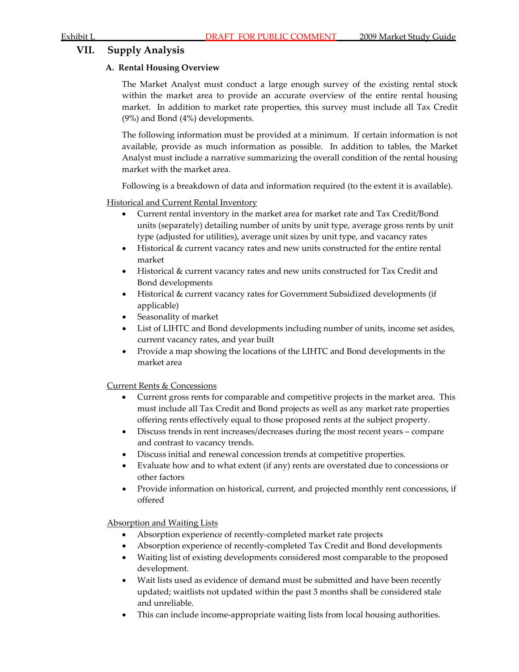## **VII. Supply Analysis**

## **A. Rental Housing Overview**

The Market Analyst must conduct a large enough survey of the existing rental stock within the market area to provide an accurate overview of the entire rental housing market. In addition to market rate properties, this survey must include all Tax Credit (9%) and Bond (4%) developments.

The following information must be provided at a minimum. If certain information is not available, provide as much information as possible. In addition to tables, the Market Analyst must include a narrative summarizing the overall condition of the rental housing market with the market area.

Following is a breakdown of data and information required (to the extent it is available).

**Historical and Current Rental Inventory** 

- Current rental inventory in the market area for market rate and Tax Credit/Bond units (separately) detailing number of units by unit type, average gross rents by unit type (adjusted for utilities), average unit sizes by unit type, and vacancy rates
- Historical & current vacancy rates and new units constructed for the entire rental market
- Historical & current vacancy rates and new units constructed for Tax Credit and Bond developments
- Historical & current vacancy rates for Government Subsidized developments (if applicable)
- Seasonality of market
- List of LIHTC and Bond developments including number of units, income set asides, current vacancy rates, and year built
- Provide a map showing the locations of the LIHTC and Bond developments in the market area

Current Rents & Concessions

- Current gross rents for comparable and competitive projects in the market area. This must include all Tax Credit and Bond projects as well as any market rate properties offering rents effectively equal to those proposed rents at the subject property.
- Discuss trends in rent increases/decreases during the most recent years compare and contrast to vacancy trends.
- Discuss initial and renewal concession trends at competitive properties.
- Evaluate how and to what extent (if any) rents are overstated due to concessions or other factors
- Provide information on historical, current, and projected monthly rent concessions, if offered

Absorption and Waiting Lists

- Absorption experience of recently-completed market rate projects
- Absorption experience of recently‐completed Tax Credit and Bond developments
- Waiting list of existing developments considered most comparable to the proposed development.
- Wait lists used as evidence of demand must be submitted and have been recently updated; waitlists not updated within the past 3 months shall be considered stale and unreliable.
- This can include income-appropriate waiting lists from local housing authorities.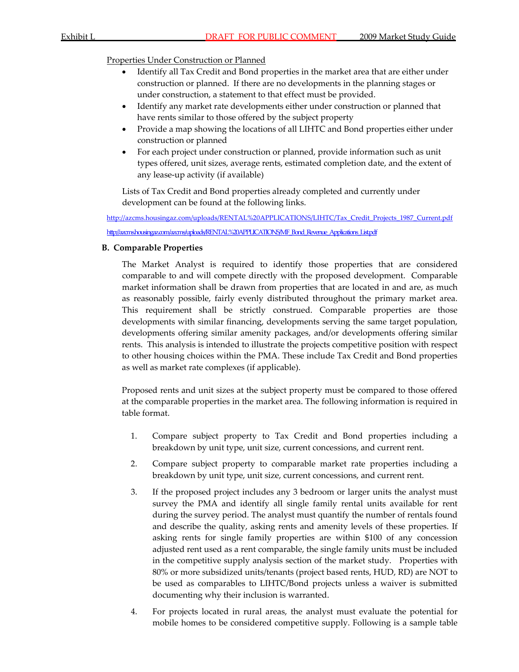## Properties Under Construction or Planned

- Identify all Tax Credit and Bond properties in the market area that are either under construction or planned. If there are no developments in the planning stages or under construction, a statement to that effect must be provided.
- Identify any market rate developments either under construction or planned that have rents similar to those offered by the subject property
- Provide a map showing the locations of all LIHTC and Bond properties either under construction or planned
- For each project under construction or planned, provide information such as unit types offered, unit sizes, average rents, estimated completion date, and the extent of any lease‐up activity (if available)

Lists of Tax Credit and Bond properties already completed and currently under development can be found at the following links.

[http://azcms.housingaz.com/uploads/RENTAL%20APPLICATIONS/LIHTC/Tax\\_Credit\\_Projects\\_1987\\_Current.pdf](http://azcms.housingaz.com/uploads/RENTAL%20APPLICATIONS/LIHTC/Tax_Credit_Projects_1987_Current.pdf) [http://azcms.housingaz.com/azcms/uploads/RENTAL%20APPLICATIONS/MF\\_Bond\\_Revenue\\_Applications\\_List.pdf](http://azcms.housingaz.com/azcms/uploads/RENTAL%20APPLICATIONS/MF_Bond_Revenue_Applications_List.pdf)

## **B. Comparable Properties**

The Market Analyst is required to identify those properties that are considered comparable to and will compete directly with the proposed development. Comparable market information shall be drawn from properties that are located in and are, as much as reasonably possible, fairly evenly distributed throughout the primary market area. This requirement shall be strictly construed. Comparable properties are those developments with similar financing, developments serving the same target population, developments offering similar amenity packages, and/or developments offering similar rents. This analysis is intended to illustrate the projects competitive position with respect to other housing choices within the PMA. These include Tax Credit and Bond properties as well as market rate complexes (if applicable).

Proposed rents and unit sizes at the subject property must be compared to those offered at the comparable properties in the market area. The following information is required in table format.

- 1. Compare subject property to Tax Credit and Bond properties including a breakdown by unit type, unit size, current concessions, and current rent.
- 2. Compare subject property to comparable market rate properties including a breakdown by unit type, unit size, current concessions, and current rent.
- 3. If the proposed project includes any 3 bedroom or larger units the analyst must survey the PMA and identify all single family rental units available for rent during the survey period. The analyst must quantify the number of rentals found and describe the quality, asking rents and amenity levels of these properties. If asking rents for single family properties are within \$100 of any concession adjusted rent used as a rent comparable, the single family units must be included in the competitive supply analysis section of the market study. Properties with 80% or more subsidized units/tenants (project based rents, HUD, RD) are NOT to be used as comparables to LIHTC/Bond projects unless a waiver is submitted documenting why their inclusion is warranted.
- 4. For projects located in rural areas, the analyst must evaluate the potential for mobile homes to be considered competitive supply. Following is a sample table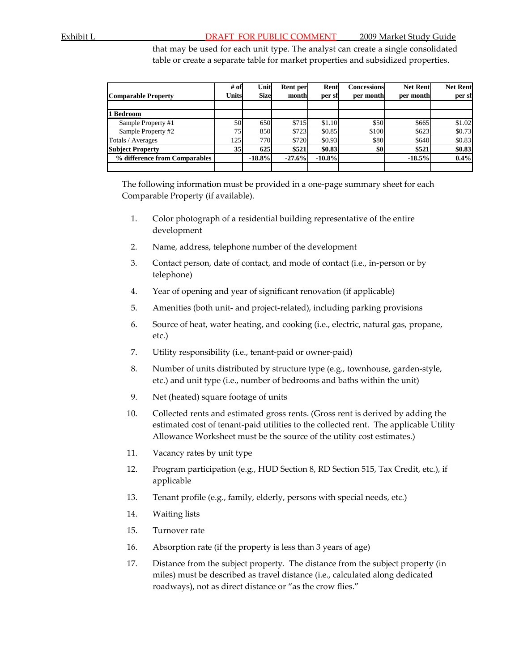that may be used for each unit type. The analyst can create a single consolidated table or create a separate table for market properties and subsidized properties.

|                               | $#$ of          | Unit        | Rent per | Rent     | <b>Concessions</b> | <b>Net Rent</b> | <b>Net Rent</b> |
|-------------------------------|-----------------|-------------|----------|----------|--------------------|-----------------|-----------------|
| <b>Comparable Property</b>    | Units           | <b>Size</b> | month    | per sf   | per month          | per month       | per sf          |
|                               |                 |             |          |          |                    |                 |                 |
| Bedroom                       |                 |             |          |          |                    |                 |                 |
| Sample Property #1            | 50              | 650         | \$715    | \$1.10   | \$50               | \$665           | \$1.02          |
| Sample Property #2            | 75              | 850         | \$723    | \$0.85   | \$100              | \$623           | \$0.73          |
| Totals / Averages             | 125             | 770         | \$720    | \$0.93   | \$80               | \$640           | \$0.83          |
| <b>Subject Property</b>       | 35 <sup>1</sup> | 625         | \$521    | \$0.83   | \$0                | \$521           | \$0.83          |
| % difference from Comparables |                 | $-18.8%$    | $-27.6%$ | $-10.8%$ |                    | $-18.5%$        | 0.4%            |
|                               |                 |             |          |          |                    |                 |                 |

The following information must be provided in a one-page summary sheet for each Comparable Property (if available).

- 1. Color photograph of a residential building representative of the entire development
- 2. Name, address, telephone number of the development
- 3. Contact person, date of contact, and mode of contact (i.e., in‐person or by telephone)
- 4. Year of opening and year of significant renovation (if applicable)
- 5. Amenities (both unit‐ and project‐related), including parking provisions
- 6. Source of heat, water heating, and cooking (i.e., electric, natural gas, propane, etc.)
- 7. Utility responsibility (i.e., tenant‐paid or owner‐paid)
- 8. Number of units distributed by structure type (e.g., townhouse, garden-style, etc.) and unit type (i.e., number of bedrooms and baths within the unit)
- 9. Net (heated) square footage of units
- 10. Collected rents and estimated gross rents. (Gross rent is derived by adding the estimated cost of tenant-paid utilities to the collected rent. The applicable Utility Allowance Worksheet must be the source of the utility cost estimates.)
- 11. Vacancy rates by unit type
- 12. Program participation (e.g., HUD Section 8, RD Section 515, Tax Credit, etc.), if applicable
- 13. Tenant profile (e.g., family, elderly, persons with special needs, etc.)
- 14. Waiting lists
- 15. Turnover rate
- 16. Absorption rate (if the property is less than 3 years of age)
- 17. Distance from the subject property. The distance from the subject property (in miles) must be described as travel distance (i.e., calculated along dedicated roadways), not as direct distance or "as the crow flies."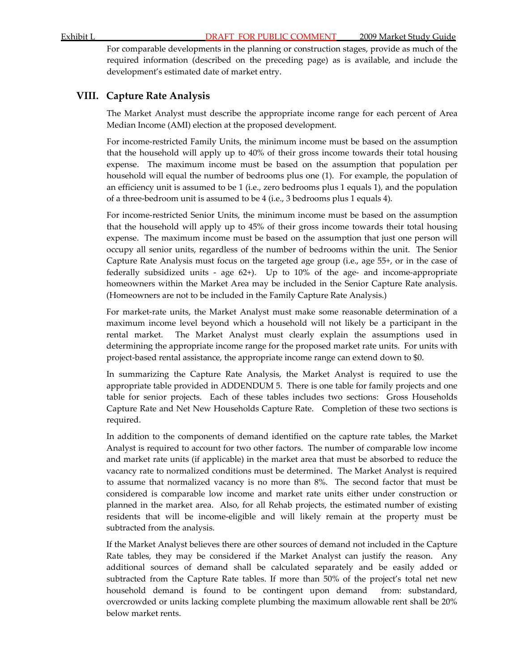For comparable developments in the planning or construction stages, provide as much of the required information (described on the preceding page) as is available, and include the development's estimated date of market entry.

## **VIII. Capture Rate Analysis**

The Market Analyst must describe the appropriate income range for each percent of Area Median Income (AMI) election at the proposed development.

For income‐restricted Family Units, the minimum income must be based on the assumption that the household will apply up to 40% of their gross income towards their total housing expense. The maximum income must be based on the assumption that population per household will equal the number of bedrooms plus one (1). For example, the population of an efficiency unit is assumed to be 1 (i.e., zero bedrooms plus 1 equals 1), and the population of a three‐bedroom unit is assumed to be 4 (i.e., 3 bedrooms plus 1 equals 4).

For income‐restricted Senior Units, the minimum income must be based on the assumption that the household will apply up to 45% of their gross income towards their total housing expense. The maximum income must be based on the assumption that just one person will occupy all senior units, regardless of the number of bedrooms within the unit. The Senior Capture Rate Analysis must focus on the targeted age group (i.e., age 55+, or in the case of federally subsidized units  $-$  age 62+). Up to 10% of the age- and income-appropriate homeowners within the Market Area may be included in the Senior Capture Rate analysis. (Homeowners are not to be included in the Family Capture Rate Analysis.)

For market-rate units, the Market Analyst must make some reasonable determination of a maximum income level beyond which a household will not likely be a participant in the rental market. The Market Analyst must clearly explain the assumptions used in determining the appropriate income range for the proposed market rate units. For units with project‐based rental assistance, the appropriate income range can extend down to \$0.

In summarizing the Capture Rate Analysis, the Market Analyst is required to use the appropriate table provided in ADDENDUM 5. There is one table for family projects and one table for senior projects. Each of these tables includes two sections: Gross Households Capture Rate and Net New Households Capture Rate. Completion of these two sections is required.

In addition to the components of demand identified on the capture rate tables, the Market Analyst is required to account for two other factors. The number of comparable low income and market rate units (if applicable) in the market area that must be absorbed to reduce the vacancy rate to normalized conditions must be determined. The Market Analyst is required to assume that normalized vacancy is no more than 8%. The second factor that must be considered is comparable low income and market rate units either under construction or planned in the market area. Also, for all Rehab projects, the estimated number of existing residents that will be income‐eligible and will likely remain at the property must be subtracted from the analysis.

If the Market Analyst believes there are other sources of demand not included in the Capture Rate tables, they may be considered if the Market Analyst can justify the reason. Any additional sources of demand shall be calculated separately and be easily added or subtracted from the Capture Rate tables. If more than 50% of the project's total net new household demand is found to be contingent upon demand from: substandard, overcrowded or units lacking complete plumbing the maximum allowable rent shall be 20% below market rents.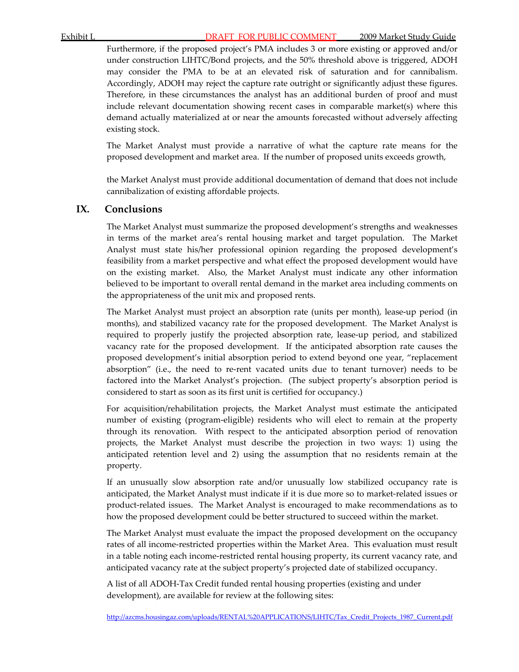Furthermore, if the proposed project's PMA includes 3 or more existing or approved and/or under construction LIHTC/Bond projects, and the 50% threshold above is triggered, ADOH may consider the PMA to be at an elevated risk of saturation and for cannibalism. Accordingly, ADOH may reject the capture rate outright or significantly adjust these figures. Therefore, in these circumstances the analyst has an additional burden of proof and must include relevant documentation showing recent cases in comparable market(s) where this demand actually materialized at or near the amounts forecasted without adversely affecting existing stock.

The Market Analyst must provide a narrative of what the capture rate means for the proposed development and market area. If the number of proposed units exceeds growth,

the Market Analyst must provide additional documentation of demand that does not include cannibalization of existing affordable projects.

## **IX. Conclusions**

The Market Analyst must summarize the proposed development's strengths and weaknesses in terms of the market area's rental housing market and target population. The Market Analyst must state his/her professional opinion regarding the proposed development's feasibility from a market perspective and what effect the proposed development would have on the existing market. Also, the Market Analyst must indicate any other information believed to be important to overall rental demand in the market area including comments on the appropriateness of the unit mix and proposed rents.

The Market Analyst must project an absorption rate (units per month), lease‐up period (in months), and stabilized vacancy rate for the proposed development. The Market Analyst is required to properly justify the projected absorption rate, lease‐up period, and stabilized vacancy rate for the proposed development. If the anticipated absorption rate causes the proposed development's initial absorption period to extend beyond one year, "replacement absorption" (i.e., the need to re‐rent vacated units due to tenant turnover) needs to be factored into the Market Analyst's projection. (The subject property's absorption period is considered to start as soon as its first unit is certified for occupancy.)

For acquisition/rehabilitation projects, the Market Analyst must estimate the anticipated number of existing (program‐eligible) residents who will elect to remain at the property through its renovation. With respect to the anticipated absorption period of renovation projects, the Market Analyst must describe the projection in two ways: 1) using the anticipated retention level and 2) using the assumption that no residents remain at the property.

If an unusually slow absorption rate and/or unusually low stabilized occupancy rate is anticipated, the Market Analyst must indicate if it is due more so to market‐related issues or product‐related issues. The Market Analyst is encouraged to make recommendations as to how the proposed development could be better structured to succeed within the market.

The Market Analyst must evaluate the impact the proposed development on the occupancy rates of all income‐restricted properties within the Market Area. This evaluation must result in a table noting each income‐restricted rental housing property, its current vacancy rate, and anticipated vacancy rate at the subject property's projected date of stabilized occupancy.

A list of all ADOH‐Tax Credit funded rental housing properties (existing and under development), are available for review at the following sites:

[http://azcms.housingaz.com/uploads/RENTAL%20APPLICATIONS/LIHTC/Tax\\_Credit\\_Projects\\_1987\\_Current.pdf](http://azcms.housingaz.com/uploads/RENTAL%20APPLICATIONS/LIHTC/Tax_Credit_Projects_1987_Current.pdf)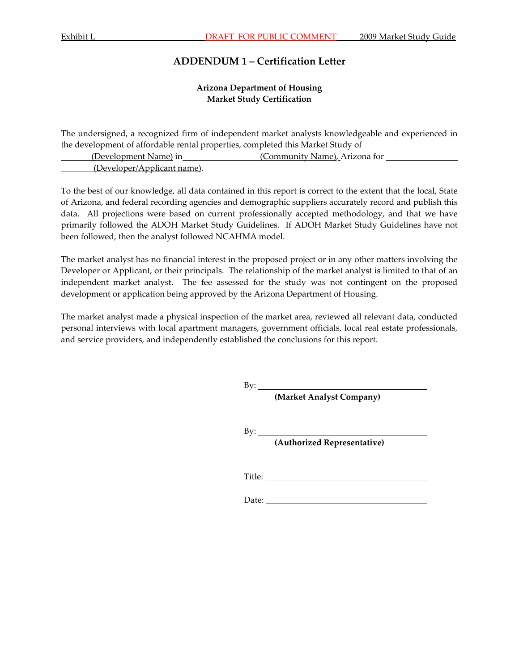## **ADDENDUM 1 – Certification Letter**

## **Arizona Department of Housing Market Study Certification**

The undersigned, a recognized firm of independent market analysts knowledgeable and experienced in the development of affordable rental properties, completed this Market Study of

| (Development Name) in       |  | (Community Name). Arizona for |  |
|-----------------------------|--|-------------------------------|--|
|                             |  |                               |  |
| (Developer/Applicant name). |  |                               |  |

To the best of our knowledge, all data contained in this report is correct to the extent that the local, State of Arizona, and federal recording agencies and demographic suppliers accurately record and publish this data. All projections were based on current professionally accepted methodology, and that we have primarily followed the ADOH Market Study Guidelines. If ADOH Market Study Guidelines have not been followed, then the analyst followed NCAHMA model.

The market analyst has no financial interest in the proposed project or in any other matters involving the Developer or Applicant, or their principals. The relationship of the market analyst is limited to that of an independent market analyst. The fee assessed for the study was not contingent on the proposed development or application being approved by the Arizona Department of Housing.

The market analyst made a physical inspection of the market area, reviewed all relevant data, conducted personal interviews with local apartment managers, government officials, local real estate professionals, and service providers, and independently established the conclusions for this report.

By:

**(Market Analyst Company)** 

 $By:$ 

**(Authorized Representative)**

Title: The second state of  $\overline{a}$  and  $\overline{b}$  and  $\overline{a}$  and  $\overline{a}$  and  $\overline{a}$  and  $\overline{a}$  and  $\overline{a}$  and  $\overline{a}$  and  $\overline{a}$  and  $\overline{a}$  and  $\overline{a}$  and  $\overline{a}$  and  $\overline{a}$  and  $\overline{a}$  and  $\overline{a}$  and

Date: **Date: Date: Date: Date: Date: Date: Date: Date: Date: Date: Date: Date: Date: Date: Date: Date: Date: Date: Date: Date: Date: Date: Date: Date: Date: Date: Date:**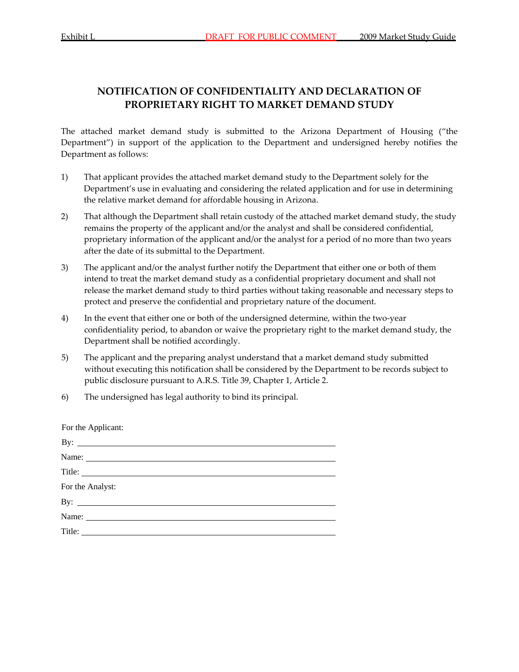## **NOTIFICATION OF CONFIDENTIALITY AND DECLARATION OF PROPRIETARY RIGHT TO MARKET DEMAND STUDY**

The attached market demand study is submitted to the Arizona Department of Housing ("the Department") in support of the application to the Department and undersigned hereby notifies the Department as follows:

- 1) That applicant provides the attached market demand study to the Department solely for the Department's use in evaluating and considering the related application and for use in determining the relative market demand for affordable housing in Arizona.
- 2) That although the Department shall retain custody of the attached market demand study, the study remains the property of the applicant and/or the analyst and shall be considered confidential, proprietary information of the applicant and/or the analyst for a period of no more than two years after the date of its submittal to the Department.
- 3) The applicant and/or the analyst further notify the Department that either one or both of them intend to treat the market demand study as a confidential proprietary document and shall not release the market demand study to third parties without taking reasonable and necessary steps to protect and preserve the confidential and proprietary nature of the document.
- 4) In the event that either one or both of the undersigned determine, within the two-year confidentiality period, to abandon or waive the proprietary right to the market demand study, the Department shall be notified accordingly.
- 5) The applicant and the preparing analyst understand that a market demand study submitted without executing this notification shall be considered by the Department to be records subject to public disclosure pursuant to A.R.S. Title 39, Chapter 1, Article 2.
- 6) The undersigned has legal authority to bind its principal.

For the Applicant:

| By: $\overline{\phantom{a}}$ |  |  |
|------------------------------|--|--|
| Name:                        |  |  |
| Title:                       |  |  |
| For the Analyst:             |  |  |
| By: $\qquad \qquad$          |  |  |
| Name:                        |  |  |
|                              |  |  |
|                              |  |  |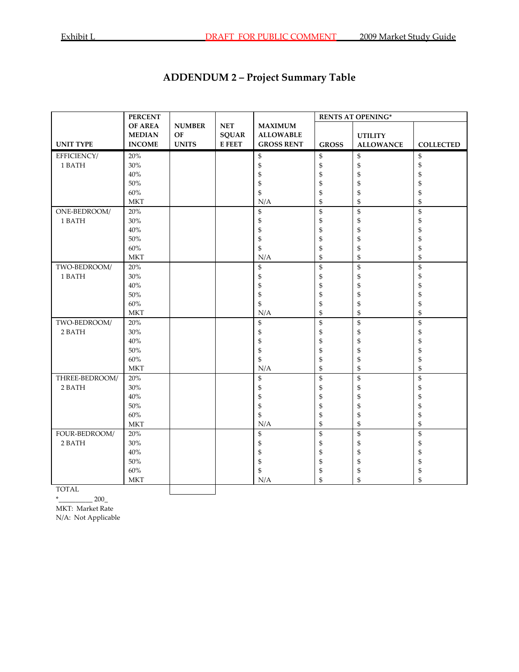| <b>ADDENDUM 2 – Project Summary Table</b> |
|-------------------------------------------|
|-------------------------------------------|

|                  | <b>PERCENT</b>       |               |                               |                   | <b>RENTS AT OPENING*</b> |                    |                  |
|------------------|----------------------|---------------|-------------------------------|-------------------|--------------------------|--------------------|------------------|
|                  | <b>OF AREA</b>       | <b>NUMBER</b> | $\operatorname{\mathbf{NET}}$ | <b>MAXIMUM</b>    |                          |                    |                  |
|                  | <b>MEDIAN</b>        | OF            | <b>SQUAR</b>                  | <b>ALLOWABLE</b>  |                          | <b>UTILITY</b>     |                  |
| <b>UNIT TYPE</b> | <b>INCOME</b>        | <b>UNITS</b>  | <b>E FEET</b>                 | <b>GROSS RENT</b> | <b>GROSS</b>             | <b>ALLOWANCE</b>   | <b>COLLECTED</b> |
| EFFICIENCY/      | 20%                  |               |                               | \$                | \$                       | \$                 | \$               |
| 1 BATH           | 30%                  |               |                               | \$                | \$                       | \$                 | \$               |
|                  | $40\%$               |               |                               | \$                | \$                       | \$                 | \$               |
|                  | $50\%$               |               |                               | \$                | \$                       | \$                 | \$               |
|                  | $60\%$               |               |                               | \$                | \$                       | \$                 | \$               |
|                  | <b>MKT</b>           |               |                               | N/A               | \$                       | \$                 | \$               |
| ONE-BEDROOM/     | 20%                  |               |                               | \$                | \$                       | $\mathfrak{S}$     | \$               |
| 1 BATH           | 30%                  |               |                               | \$                | \$                       | \$                 | \$               |
|                  | $40\%$               |               |                               | \$                | \$                       | \$                 | \$               |
|                  | $50\%$               |               |                               | \$                | \$                       | \$                 | \$               |
|                  | $60\%$               |               |                               | \$                | \$                       | \$                 | \$               |
|                  | <b>MKT</b>           |               |                               | N/A               | \$                       | \$                 | \$               |
| TWO-BEDROOM/     | $20\%$               |               |                               | \$                | \$                       | \$                 | \$               |
| 1 BATH           | $30\%$               |               |                               | \$                | \$                       | \$                 | \$               |
|                  | $40\%$               |               |                               | \$                | \$                       | \$                 | \$               |
|                  | $50\%$               |               |                               | \$                | \$                       | \$                 | \$               |
|                  | $60\%$               |               |                               | \$                | \$                       | \$                 | \$               |
|                  | <b>MKT</b>           |               |                               | N/A               | \$                       | \$                 | \$               |
| TWO-BEDROOM/     | 20%                  |               |                               | \$                | \$                       | \$                 | \$               |
| 2 BATH           | $30\%$               |               |                               | \$                | \$                       | \$                 | \$               |
|                  | $40\%$               |               |                               | \$                | \$                       | \$                 | \$               |
|                  | $50\%$               |               |                               | \$                | \$                       | \$                 | \$               |
|                  | $60\%$               |               |                               | \$                | \$                       | \$                 | \$               |
|                  | $\operatorname{MKT}$ |               |                               | N/A               | \$                       | \$                 | \$               |
| THREE-BEDROOM/   | $20\%$               |               |                               | \$                | \$                       | \$                 | \$               |
| 2 BATH           | $30\%$               |               |                               | \$                | \$                       | \$                 | \$               |
|                  | $40\%$               |               |                               | \$                | \$                       | \$                 | \$               |
|                  | $50\%$               |               |                               | \$                | \$                       | \$                 | \$               |
|                  | 60%                  |               |                               | \$                | \$                       | \$                 | \$               |
|                  | <b>MKT</b>           |               |                               | N/A               | \$                       | $\mathbf{\hat{S}}$ | \$               |
| FOUR-BEDROOM/    | $20\%$               |               |                               | \$                | \$                       | \$                 | \$               |
| 2 BATH           | $30\%$               |               |                               | \$                | \$                       | \$                 | \$               |
|                  | $40\%$               |               |                               | \$                | \$                       | \$                 | \$               |
|                  | 50%                  |               |                               | \$                | \$                       | \$                 | \$               |
|                  | $60\%$               |               |                               | \$                | \$                       | \$                 | \$               |
|                  | <b>MKT</b>           |               |                               | N/A               | \$                       | \$                 | \$               |
| <b>TOTAL</b>     |                      |               |                               |                   |                          |                    |                  |

TOTAL

 $*$  200\_

MKT: Market Rate

N/A: Not Applicable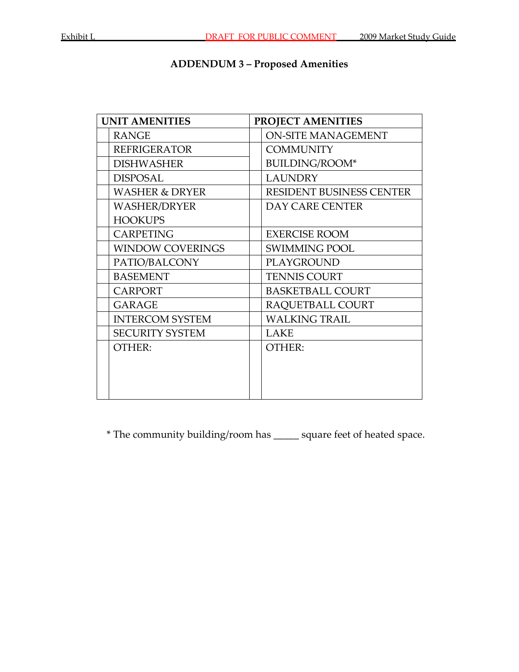## **ADDENDUM 3 – Proposed Amenities**

| <b>ON-SITE MANAGEMENT</b>       |
|---------------------------------|
|                                 |
|                                 |
|                                 |
| <b>RESIDENT BUSINESS CENTER</b> |
|                                 |
|                                 |
|                                 |
|                                 |
|                                 |
|                                 |
|                                 |
|                                 |
|                                 |
|                                 |
|                                 |
|                                 |
|                                 |
|                                 |
|                                 |

\* The community building/room has \_\_\_\_\_ square feet of heated space.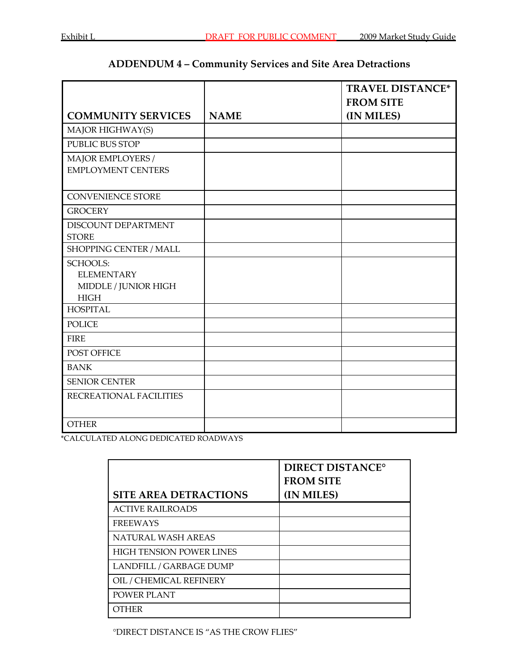## **ADDENDUM 4 – Community Services and Site Area Detractions**

|                           |             | <b>TRAVEL DISTANCE*</b> |
|---------------------------|-------------|-------------------------|
|                           |             | <b>FROM SITE</b>        |
| <b>COMMUNITY SERVICES</b> | <b>NAME</b> | (IN MILES)              |
| MAJOR HIGHWAY(S)          |             |                         |
| <b>PUBLIC BUS STOP</b>    |             |                         |
| MAJOR EMPLOYERS /         |             |                         |
| <b>EMPLOYMENT CENTERS</b> |             |                         |
|                           |             |                         |
| <b>CONVENIENCE STORE</b>  |             |                         |
| <b>GROCERY</b>            |             |                         |
| DISCOUNT DEPARTMENT       |             |                         |
| <b>STORE</b>              |             |                         |
| SHOPPING CENTER / MALL    |             |                         |
| <b>SCHOOLS:</b>           |             |                         |
| <b>ELEMENTARY</b>         |             |                         |
| MIDDLE / JUNIOR HIGH      |             |                         |
| <b>HIGH</b>               |             |                         |
| <b>HOSPITAL</b>           |             |                         |
| <b>POLICE</b>             |             |                         |
| <b>FIRE</b>               |             |                         |
| POST OFFICE               |             |                         |
| <b>BANK</b>               |             |                         |
| <b>SENIOR CENTER</b>      |             |                         |
| RECREATIONAL FACILITIES   |             |                         |
|                           |             |                         |
| <b>OTHER</b>              |             |                         |

\*CALCULATED ALONG DEDICATED ROADWAYS

|                                 | <b>DIRECT DISTANCE°</b><br><b>FROM SITE</b> |
|---------------------------------|---------------------------------------------|
| <b>SITE AREA DETRACTIONS</b>    | (IN MILES)                                  |
| <b>ACTIVE RAILROADS</b>         |                                             |
| <b>FREEWAYS</b>                 |                                             |
| NATURAL WASH AREAS              |                                             |
| <b>HIGH TENSION POWER LINES</b> |                                             |
| LANDFILL / GARBAGE DUMP         |                                             |
| OIL / CHEMICAL REFINERY         |                                             |
| POWER PLANT                     |                                             |
| OTHER                           |                                             |

°DIRECT DISTANCE IS "AS THE CROW FLIES"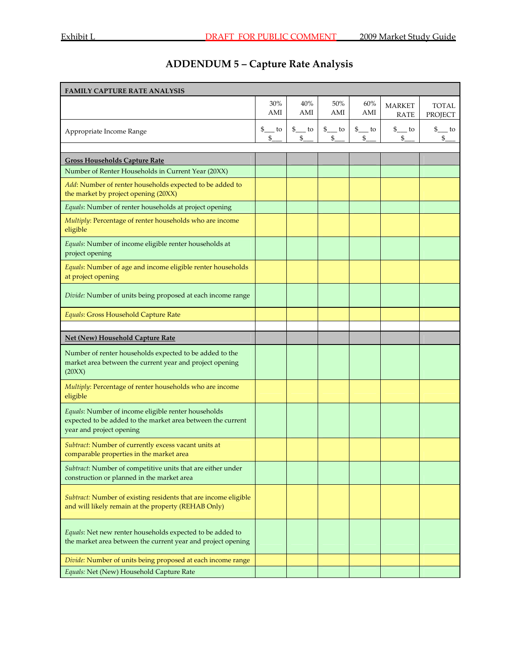# **ADDENDUM 5 – Capture Rate Analysis**

| <b>FAMILY CAPTURE RATE ANALYSIS</b>                                                                                                            |             |                                    |                        |                         |                              |                         |
|------------------------------------------------------------------------------------------------------------------------------------------------|-------------|------------------------------------|------------------------|-------------------------|------------------------------|-------------------------|
|                                                                                                                                                | 30%<br>AMI  | 40%<br>$\mathop{\rm AMI}\nolimits$ | 50%<br>AMI             | 60%<br>AMI              | <b>MARKET</b><br><b>RATE</b> | <b>TOTAL</b><br>PROJECT |
| Appropriate Income Range                                                                                                                       | \$ to<br>\$ | $\frac{1}{2}$ to<br>\$             | $\frac{1}{2}$ to<br>\$ | $\frac{1}{2}$ to<br>\$. | $\frac{1}{2}$ to<br>\$       | $\frac{1}{2}$ to<br>\$  |
| <b>Gross Households Capture Rate</b>                                                                                                           |             |                                    |                        |                         |                              |                         |
| Number of Renter Households in Current Year (20XX)                                                                                             |             |                                    |                        |                         |                              |                         |
| Add: Number of renter households expected to be added to<br>the market by project opening (20XX)                                               |             |                                    |                        |                         |                              |                         |
| Equals: Number of renter households at project opening                                                                                         |             |                                    |                        |                         |                              |                         |
| Multiply: Percentage of renter households who are income<br>eligible                                                                           |             |                                    |                        |                         |                              |                         |
| Equals: Number of income eligible renter households at<br>project opening                                                                      |             |                                    |                        |                         |                              |                         |
| Equals: Number of age and income eligible renter households<br>at project opening                                                              |             |                                    |                        |                         |                              |                         |
| Divide: Number of units being proposed at each income range                                                                                    |             |                                    |                        |                         |                              |                         |
| Equals: Gross Household Capture Rate                                                                                                           |             |                                    |                        |                         |                              |                         |
| <b>Net (New) Household Capture Rate</b>                                                                                                        |             |                                    |                        |                         |                              |                         |
| Number of renter households expected to be added to the<br>market area between the current year and project opening<br>(20XX)                  |             |                                    |                        |                         |                              |                         |
| Multiply: Percentage of renter households who are income<br>eligible                                                                           |             |                                    |                        |                         |                              |                         |
| Equals: Number of income eligible renter households<br>expected to be added to the market area between the current<br>year and project opening |             |                                    |                        |                         |                              |                         |
| Subtract: Number of currently excess vacant units at<br>comparable properties in the market area                                               |             |                                    |                        |                         |                              |                         |
| Subtract: Number of competitive units that are either under<br>construction or planned in the market area                                      |             |                                    |                        |                         |                              |                         |
| Subtract: Number of existing residents that are income eligible<br>and will likely remain at the property (REHAB Only)                         |             |                                    |                        |                         |                              |                         |
| Equals: Net new renter households expected to be added to<br>the market area between the current year and project opening                      |             |                                    |                        |                         |                              |                         |
| Divide: Number of units being proposed at each income range                                                                                    |             |                                    |                        |                         |                              |                         |
| Equals: Net (New) Household Capture Rate                                                                                                       |             |                                    |                        |                         |                              |                         |